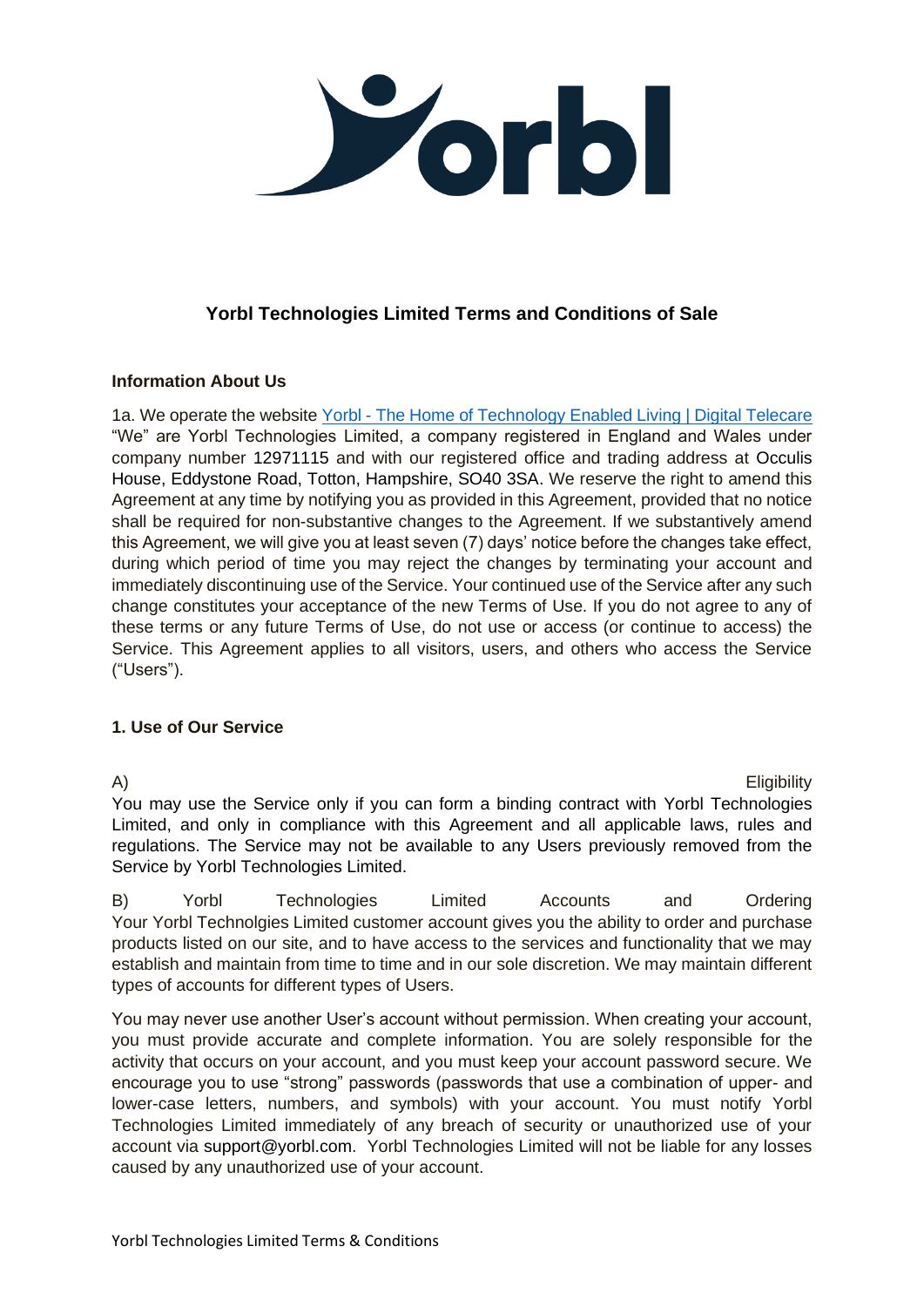

# **Yorbl Technologies Limited Terms and Conditions of Sale**

### **Information About Us**

1a. We operate the website Yorbl - [The Home of Technology Enabled Living | Digital Telecare](https://webdev.yorbl.com/) "We" are Yorbl Technologies Limited, a company registered in England and Wales under company number 12971115 and with our registered office and trading address at Occulis House, Eddystone Road, Totton, Hampshire, SO40 3SA. We reserve the right to amend this Agreement at any time by notifying you as provided in this Agreement, provided that no notice shall be required for non-substantive changes to the Agreement. If we substantively amend this Agreement, we will give you at least seven (7) days' notice before the changes take effect, during which period of time you may reject the changes by terminating your account and immediately discontinuing use of the Service. Your continued use of the Service after any such change constitutes your acceptance of the new Terms of Use. If you do not agree to any of these terms or any future Terms of Use, do not use or access (or continue to access) the Service. This Agreement applies to all visitors, users, and others who access the Service ("Users").

### **1. Use of Our Service**

A) Eligibility You may use the Service only if you can form a binding contract with Yorbl Technologies Limited, and only in compliance with this Agreement and all applicable laws, rules and regulations. The Service may not be available to any Users previously removed from the Service by Yorbl Technologies Limited.

B) Yorbl Technologies Limited Accounts and Ordering Your Yorbl Technolgies Limited customer account gives you the ability to order and purchase products listed on our site, and to have access to the services and functionality that we may establish and maintain from time to time and in our sole discretion. We may maintain different types of accounts for different types of Users.

You may never use another User's account without permission. When creating your account, you must provide accurate and complete information. You are solely responsible for the activity that occurs on your account, and you must keep your account password secure. We encourage you to use "strong" passwords (passwords that use a combination of upper- and lower-case letters, numbers, and symbols) with your account. You must notify Yorbl Technologies Limited immediately of any breach of security or unauthorized use of your account via support@yorbl.com. Yorbl Technologies Limited will not be liable for any losses caused by any unauthorized use of your account.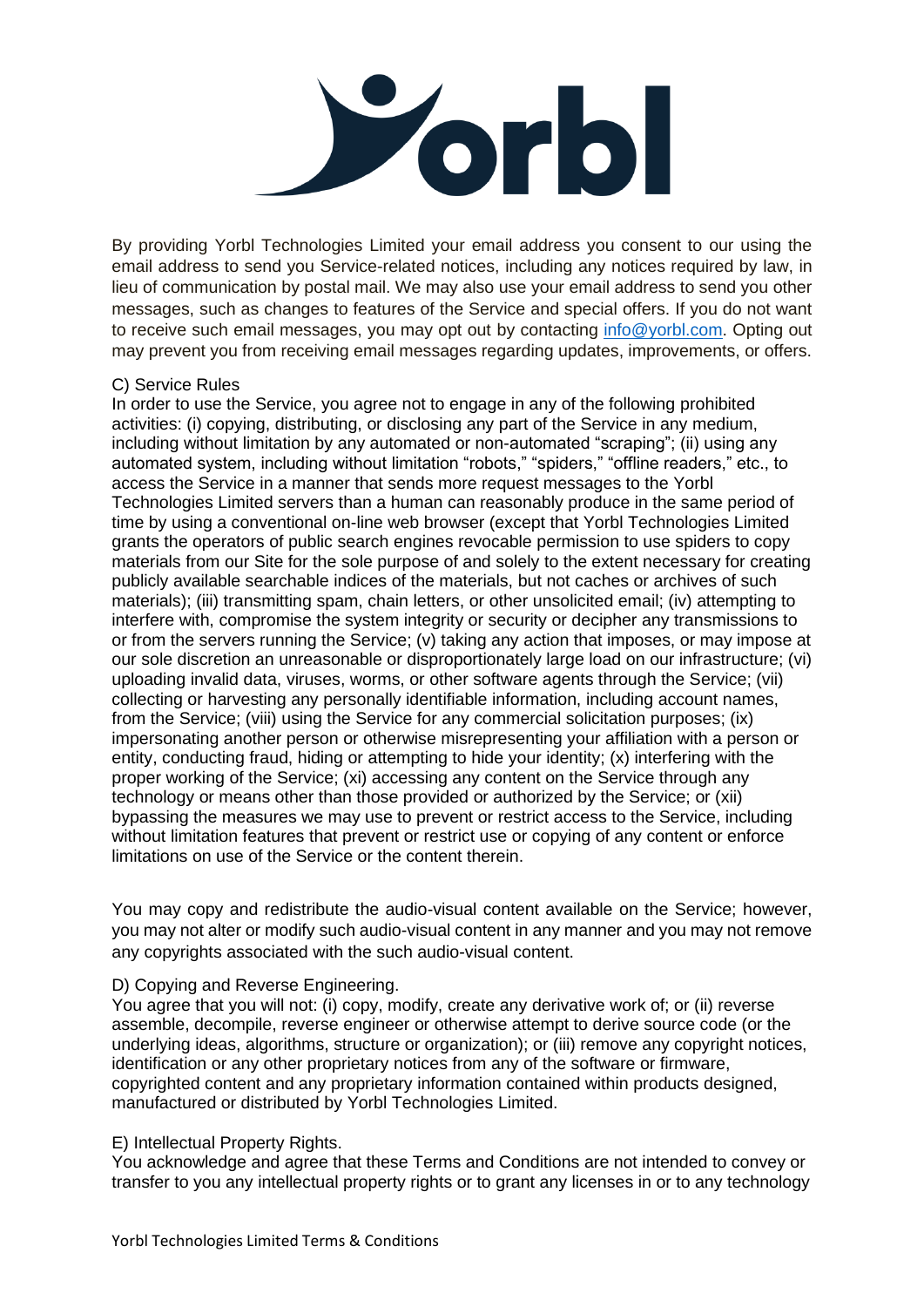

By providing Yorbl Technologies Limited your email address you consent to our using the email address to send you Service-related notices, including any notices required by law, in lieu of communication by postal mail. We may also use your email address to send you other messages, such as changes to features of the Service and special offers. If you do not want to receive such email messages, you may opt out by contacting [info@yorbl.com.](mailto:info@yorbl.com) Opting out may prevent you from receiving email messages regarding updates, improvements, or offers.

#### C) Service Rules

In order to use the Service, you agree not to engage in any of the following prohibited activities: (i) copying, distributing, or disclosing any part of the Service in any medium, including without limitation by any automated or non-automated "scraping"; (ii) using any automated system, including without limitation "robots," "spiders," "offline readers," etc., to access the Service in a manner that sends more request messages to the Yorbl Technologies Limited servers than a human can reasonably produce in the same period of time by using a conventional on-line web browser (except that Yorbl Technologies Limited grants the operators of public search engines revocable permission to use spiders to copy materials from our Site for the sole purpose of and solely to the extent necessary for creating publicly available searchable indices of the materials, but not caches or archives of such materials); (iii) transmitting spam, chain letters, or other unsolicited email; (iv) attempting to interfere with, compromise the system integrity or security or decipher any transmissions to or from the servers running the Service; (v) taking any action that imposes, or may impose at our sole discretion an unreasonable or disproportionately large load on our infrastructure; (vi) uploading invalid data, viruses, worms, or other software agents through the Service; (vii) collecting or harvesting any personally identifiable information, including account names, from the Service; (viii) using the Service for any commercial solicitation purposes; (ix) impersonating another person or otherwise misrepresenting your affiliation with a person or entity, conducting fraud, hiding or attempting to hide your identity; (x) interfering with the proper working of the Service; (xi) accessing any content on the Service through any technology or means other than those provided or authorized by the Service; or (xii) bypassing the measures we may use to prevent or restrict access to the Service, including without limitation features that prevent or restrict use or copying of any content or enforce limitations on use of the Service or the content therein.

You may copy and redistribute the audio-visual content available on the Service; however, you may not alter or modify such audio-visual content in any manner and you may not remove any copyrights associated with the such audio-visual content.

### D) Copying and Reverse Engineering.

You agree that you will not: (i) copy, modify, create any derivative work of; or (ii) reverse assemble, decompile, reverse engineer or otherwise attempt to derive source code (or the underlying ideas, algorithms, structure or organization); or (iii) remove any copyright notices, identification or any other proprietary notices from any of the software or firmware, copyrighted content and any proprietary information contained within products designed, manufactured or distributed by Yorbl Technologies Limited.

#### E) Intellectual Property Rights.

You acknowledge and agree that these Terms and Conditions are not intended to convey or transfer to you any intellectual property rights or to grant any licenses in or to any technology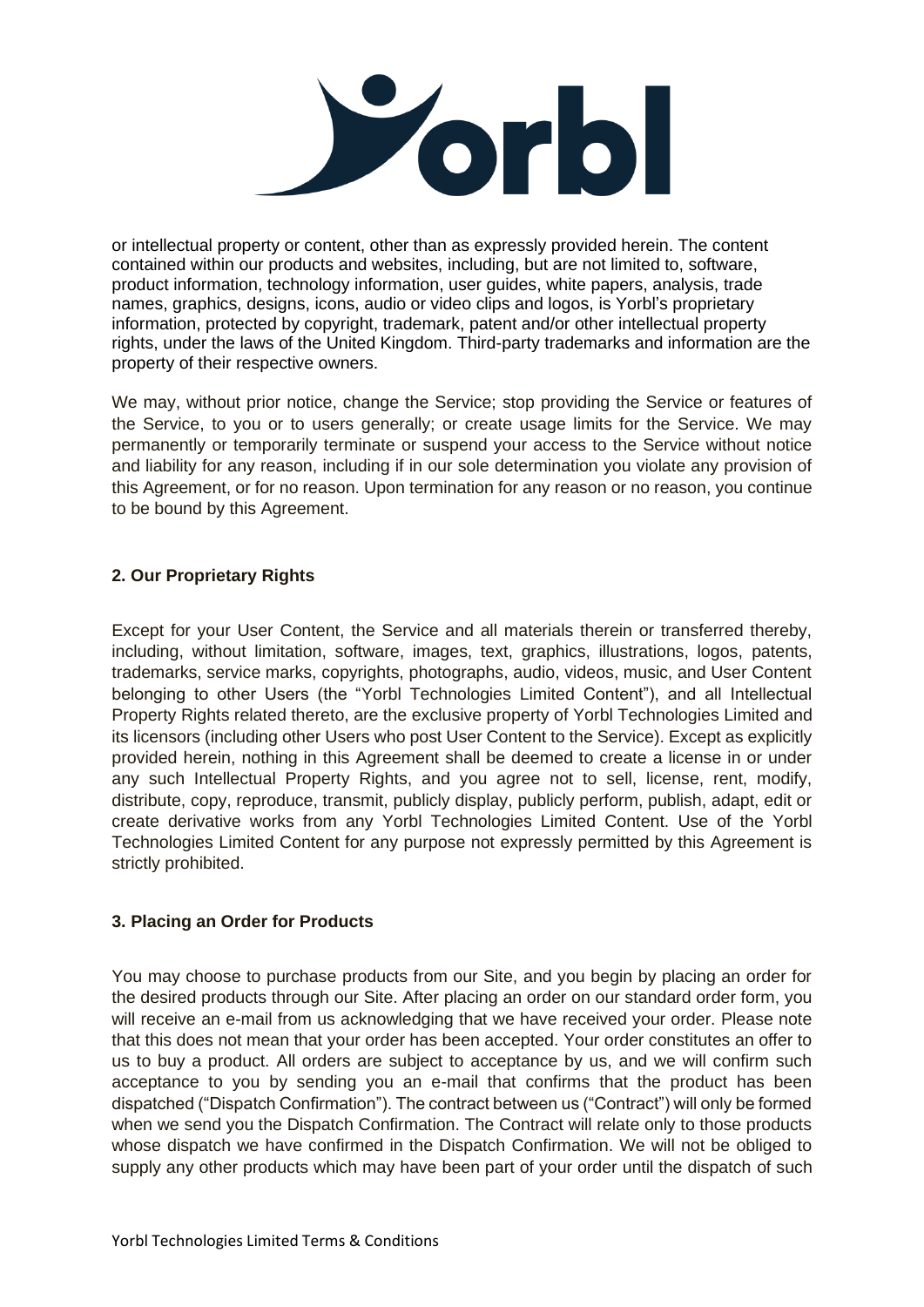

or intellectual property or content, other than as expressly provided herein. The content contained within our products and websites, including, but are not limited to, software, product information, technology information, user guides, white papers, analysis, trade names, graphics, designs, icons, audio or video clips and logos, is Yorbl's proprietary information, protected by copyright, trademark, patent and/or other intellectual property rights, under the laws of the United Kingdom. Third-party trademarks and information are the property of their respective owners.

We may, without prior notice, change the Service; stop providing the Service or features of the Service, to you or to users generally; or create usage limits for the Service. We may permanently or temporarily terminate or suspend your access to the Service without notice and liability for any reason, including if in our sole determination you violate any provision of this Agreement, or for no reason. Upon termination for any reason or no reason, you continue to be bound by this Agreement.

# **2. Our Proprietary Rights**

Except for your User Content, the Service and all materials therein or transferred thereby, including, without limitation, software, images, text, graphics, illustrations, logos, patents, trademarks, service marks, copyrights, photographs, audio, videos, music, and User Content belonging to other Users (the "Yorbl Technologies Limited Content"), and all Intellectual Property Rights related thereto, are the exclusive property of Yorbl Technologies Limited and its licensors (including other Users who post User Content to the Service). Except as explicitly provided herein, nothing in this Agreement shall be deemed to create a license in or under any such Intellectual Property Rights, and you agree not to sell, license, rent, modify, distribute, copy, reproduce, transmit, publicly display, publicly perform, publish, adapt, edit or create derivative works from any Yorbl Technologies Limited Content. Use of the Yorbl Technologies Limited Content for any purpose not expressly permitted by this Agreement is strictly prohibited.

### **3. Placing an Order for Products**

You may choose to purchase products from our Site, and you begin by placing an order for the desired products through our Site. After placing an order on our standard order form, you will receive an e-mail from us acknowledging that we have received your order. Please note that this does not mean that your order has been accepted. Your order constitutes an offer to us to buy a product. All orders are subject to acceptance by us, and we will confirm such acceptance to you by sending you an e-mail that confirms that the product has been dispatched ("Dispatch Confirmation"). The contract between us ("Contract") will only be formed when we send you the Dispatch Confirmation. The Contract will relate only to those products whose dispatch we have confirmed in the Dispatch Confirmation. We will not be obliged to supply any other products which may have been part of your order until the dispatch of such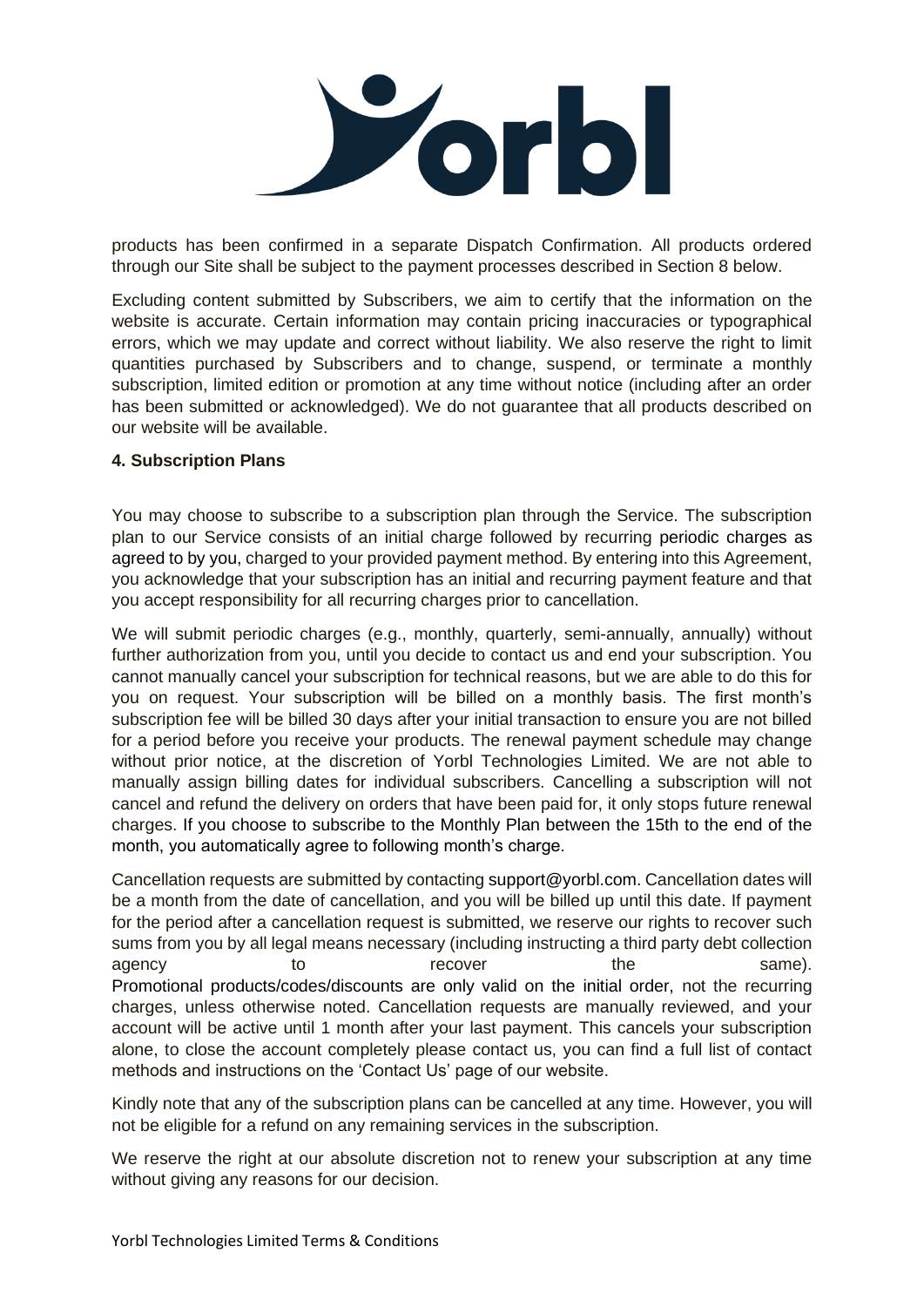

products has been confirmed in a separate Dispatch Confirmation. All products ordered through our Site shall be subject to the payment processes described in Section 8 below.

Excluding content submitted by Subscribers, we aim to certify that the information on the website is accurate. Certain information may contain pricing inaccuracies or typographical errors, which we may update and correct without liability. We also reserve the right to limit quantities purchased by Subscribers and to change, suspend, or terminate a monthly subscription, limited edition or promotion at any time without notice (including after an order has been submitted or acknowledged). We do not guarantee that all products described on our website will be available.

### **4. Subscription Plans**

You may choose to subscribe to a subscription plan through the Service. The subscription plan to our Service consists of an initial charge followed by recurring periodic charges as agreed to by you, charged to your provided payment method. By entering into this Agreement, you acknowledge that your subscription has an initial and recurring payment feature and that you accept responsibility for all recurring charges prior to cancellation.

We will submit periodic charges (e.g., monthly, quarterly, semi-annually, annually) without further authorization from you, until you decide to contact us and end your subscription. You cannot manually cancel your subscription for technical reasons, but we are able to do this for you on request. Your subscription will be billed on a monthly basis. The first month's subscription fee will be billed 30 days after your initial transaction to ensure you are not billed for a period before you receive your products. The renewal payment schedule may change without prior notice, at the discretion of Yorbl Technologies Limited. We are not able to manually assign billing dates for individual subscribers. Cancelling a subscription will not cancel and refund the delivery on orders that have been paid for, it only stops future renewal charges. If you choose to subscribe to the Monthly Plan between the 15th to the end of the month, you automatically agree to following month's charge.

Cancellation requests are submitted by contacting support@yorbl.com. Cancellation dates will be a month from the date of cancellation, and you will be billed up until this date. If payment for the period after a cancellation request is submitted, we reserve our rights to recover such sums from you by all legal means necessary (including instructing a third party debt collection agency and to the same). The same of the same same the same same of the same same same same same same. Promotional products/codes/discounts are only valid on the initial order, not the recurring charges, unless otherwise noted. Cancellation requests are manually reviewed, and your account will be active until 1 month after your last payment. This cancels your subscription alone, to close the account completely please contact us, you can find a full list of contact methods and instructions on the 'Contact Us' page of our website.

Kindly note that any of the subscription plans can be cancelled at any time. However, you will not be eligible for a refund on any remaining services in the subscription.

We reserve the right at our absolute discretion not to renew your subscription at any time without giving any reasons for our decision.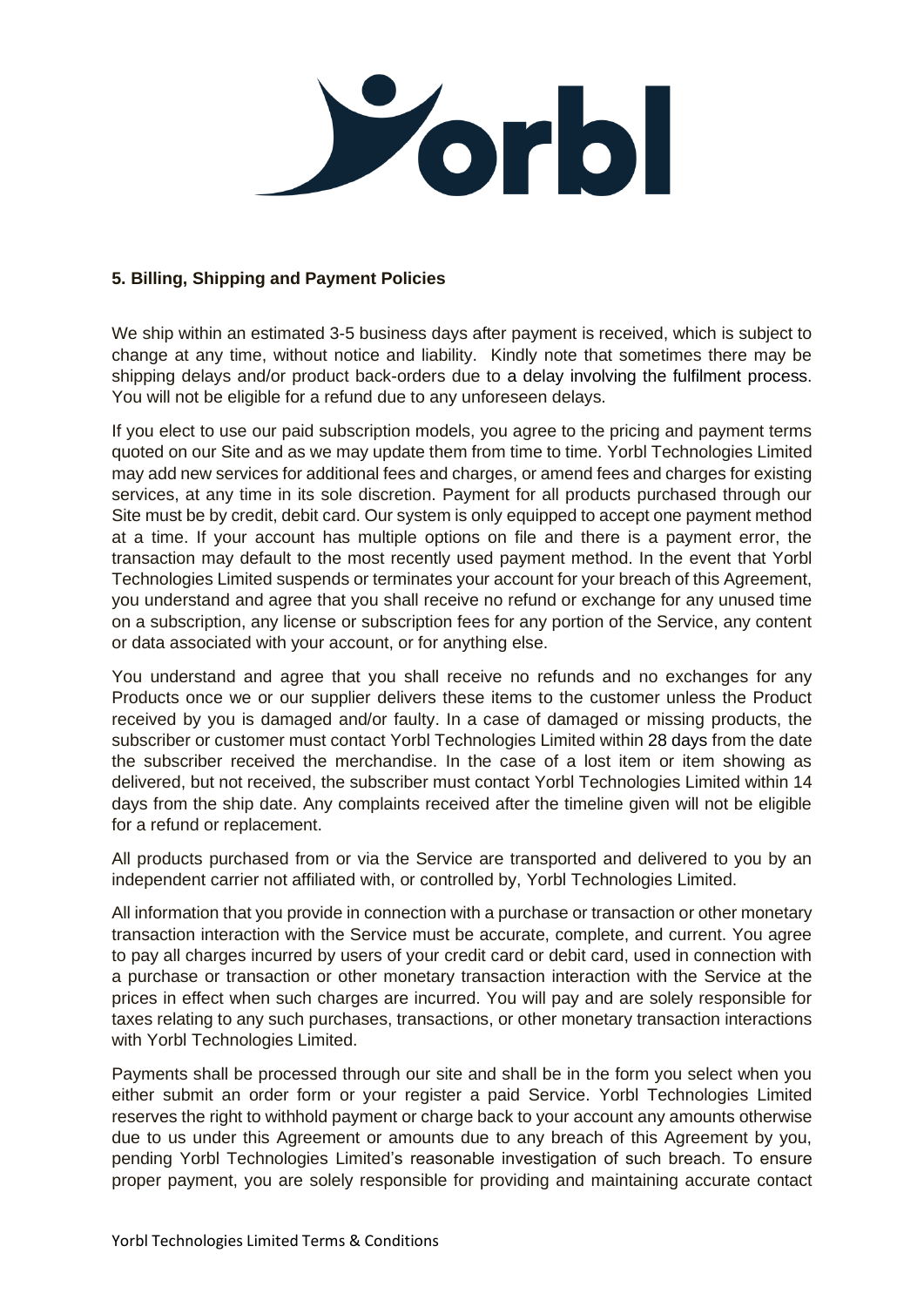

### **5. Billing, Shipping and Payment Policies**

We ship within an estimated 3-5 business days after payment is received, which is subject to change at any time, without notice and liability. Kindly note that sometimes there may be shipping delays and/or product back-orders due to a delay involving the fulfilment process. You will not be eligible for a refund due to any unforeseen delays.

If you elect to use our paid subscription models, you agree to the pricing and payment terms quoted on our Site and as we may update them from time to time. Yorbl Technologies Limited may add new services for additional fees and charges, or amend fees and charges for existing services, at any time in its sole discretion. Payment for all products purchased through our Site must be by credit, debit card. Our system is only equipped to accept one payment method at a time. If your account has multiple options on file and there is a payment error, the transaction may default to the most recently used payment method. In the event that Yorbl Technologies Limited suspends or terminates your account for your breach of this Agreement, you understand and agree that you shall receive no refund or exchange for any unused time on a subscription, any license or subscription fees for any portion of the Service, any content or data associated with your account, or for anything else.

You understand and agree that you shall receive no refunds and no exchanges for any Products once we or our supplier delivers these items to the customer unless the Product received by you is damaged and/or faulty. In a case of damaged or missing products, the subscriber or customer must contact Yorbl Technologies Limited within 28 days from the date the subscriber received the merchandise. In the case of a lost item or item showing as delivered, but not received, the subscriber must contact Yorbl Technologies Limited within 14 days from the ship date. Any complaints received after the timeline given will not be eligible for a refund or replacement.

All products purchased from or via the Service are transported and delivered to you by an independent carrier not affiliated with, or controlled by, Yorbl Technologies Limited.

All information that you provide in connection with a purchase or transaction or other monetary transaction interaction with the Service must be accurate, complete, and current. You agree to pay all charges incurred by users of your credit card or debit card, used in connection with a purchase or transaction or other monetary transaction interaction with the Service at the prices in effect when such charges are incurred. You will pay and are solely responsible for taxes relating to any such purchases, transactions, or other monetary transaction interactions with Yorbl Technologies Limited.

Payments shall be processed through our site and shall be in the form you select when you either submit an order form or your register a paid Service. Yorbl Technologies Limited reserves the right to withhold payment or charge back to your account any amounts otherwise due to us under this Agreement or amounts due to any breach of this Agreement by you, pending Yorbl Technologies Limited's reasonable investigation of such breach. To ensure proper payment, you are solely responsible for providing and maintaining accurate contact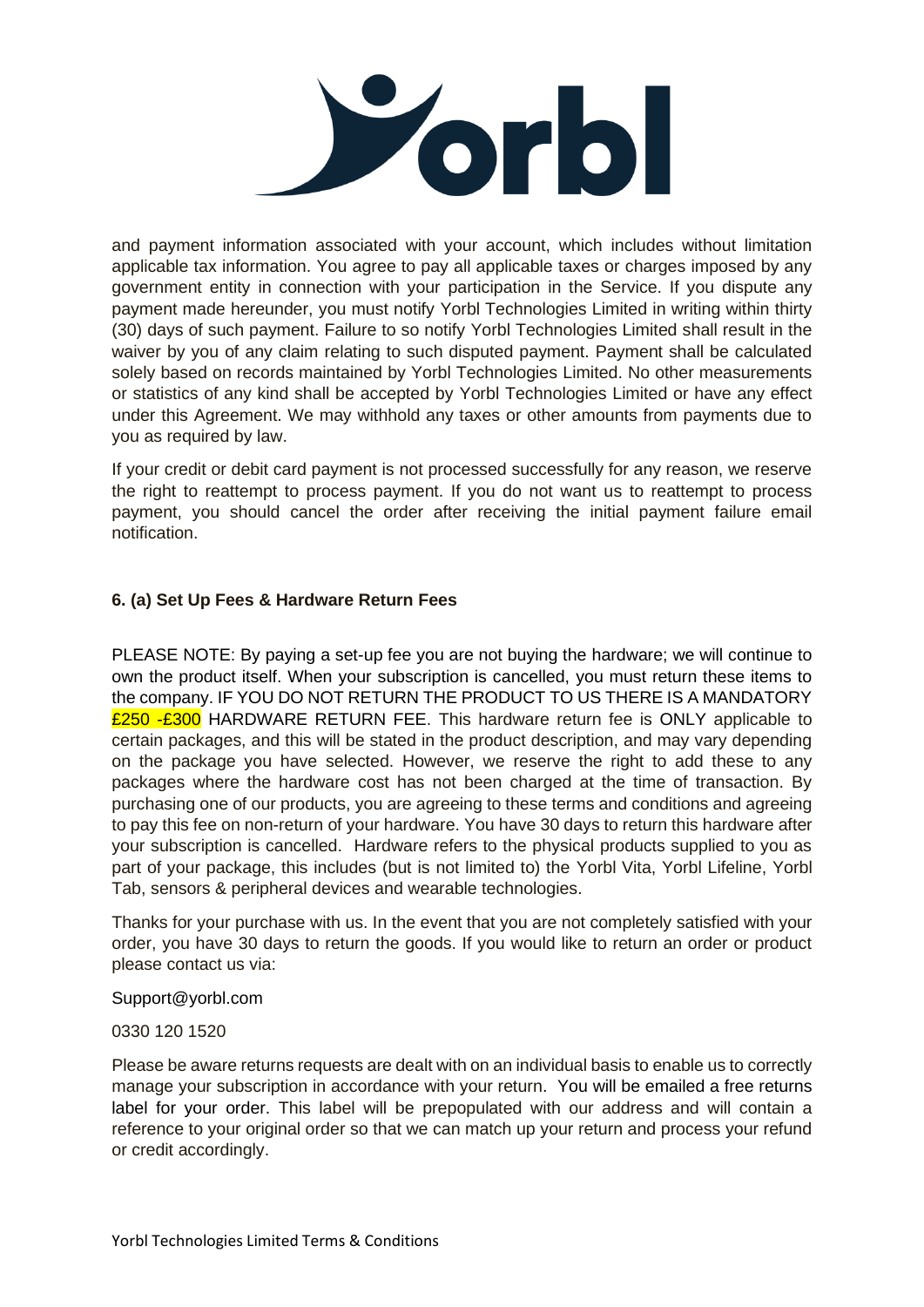

and payment information associated with your account, which includes without limitation applicable tax information. You agree to pay all applicable taxes or charges imposed by any government entity in connection with your participation in the Service. If you dispute any payment made hereunder, you must notify Yorbl Technologies Limited in writing within thirty (30) days of such payment. Failure to so notify Yorbl Technologies Limited shall result in the waiver by you of any claim relating to such disputed payment. Payment shall be calculated solely based on records maintained by Yorbl Technologies Limited. No other measurements or statistics of any kind shall be accepted by Yorbl Technologies Limited or have any effect under this Agreement. We may withhold any taxes or other amounts from payments due to you as required by law.

If your credit or debit card payment is not processed successfully for any reason, we reserve the right to reattempt to process payment. If you do not want us to reattempt to process payment, you should cancel the order after receiving the initial payment failure email notification.

### **6. (a) Set Up Fees & Hardware Return Fees**

PLEASE NOTE: By paying a set-up fee you are not buying the hardware; we will continue to own the product itself. When your subscription is cancelled, you must return these items to the company. IF YOU DO NOT RETURN THE PRODUCT TO US THERE IS A MANDATORY £250 -£300 HARDWARE RETURN FEE. This hardware return fee is ONLY applicable to certain packages, and this will be stated in the product description, and may vary depending on the package you have selected. However, we reserve the right to add these to any packages where the hardware cost has not been charged at the time of transaction. By purchasing one of our products, you are agreeing to these terms and conditions and agreeing to pay this fee on non-return of your hardware. You have 30 days to return this hardware after your subscription is cancelled. Hardware refers to the physical products supplied to you as part of your package, this includes (but is not limited to) the Yorbl Vita, Yorbl Lifeline, Yorbl Tab, sensors & peripheral devices and wearable technologies.

Thanks for your purchase with us. In the event that you are not completely satisfied with your order, you have 30 days to return the goods. If you would like to return an order or product please contact us via:

Support@yorbl.com

0330 120 1520

Please be aware returns requests are dealt with on an individual basis to enable us to correctly manage your subscription in accordance with your return. You will be emailed a free returns label for your order. This label will be prepopulated with our address and will contain a reference to your original order so that we can match up your return and process your refund or credit accordingly.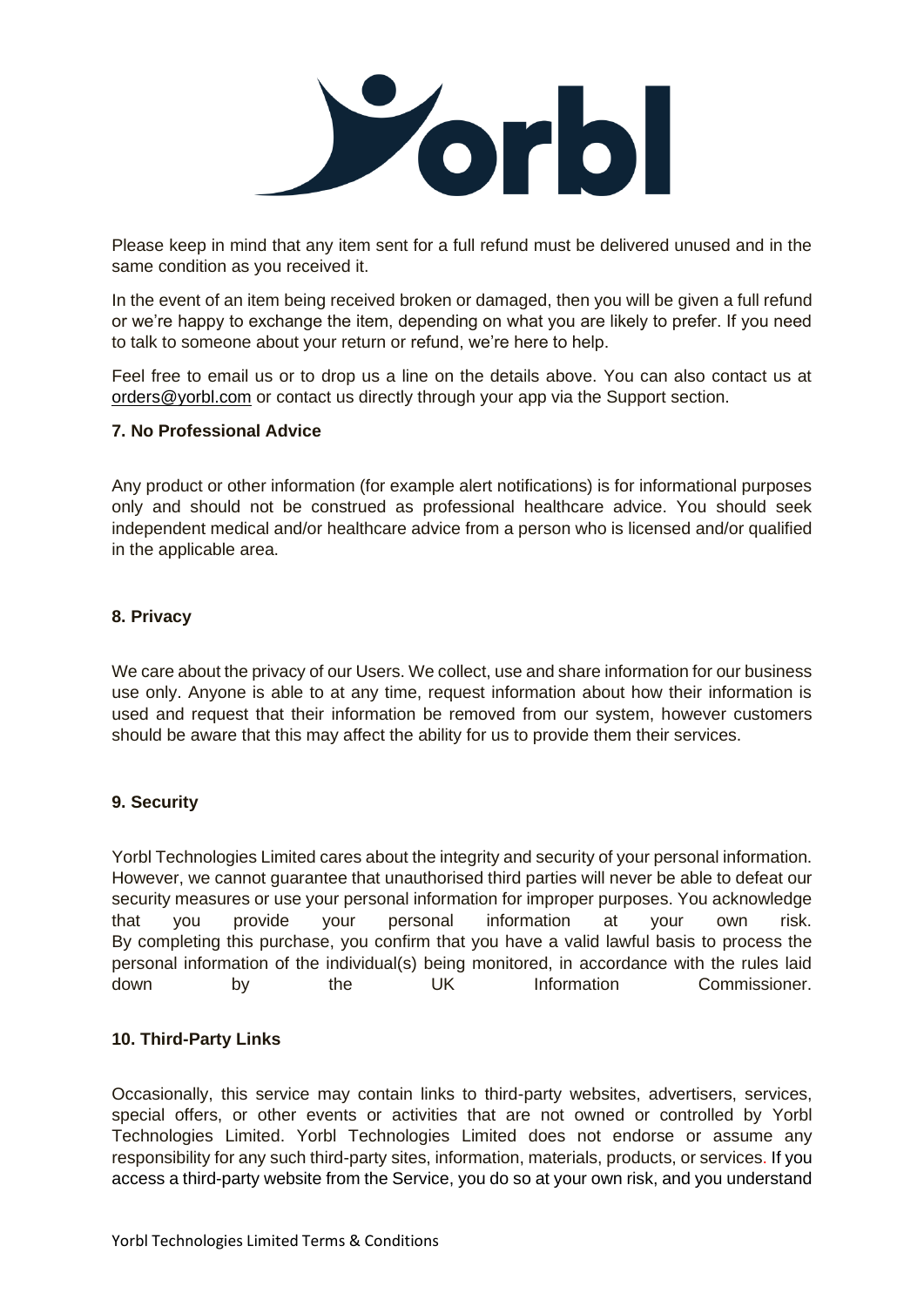

Please keep in mind that any item sent for a full refund must be delivered unused and in the same condition as you received it.

In the event of an item being received broken or damaged, then you will be given a full refund or we're happy to exchange the item, depending on what you are likely to prefer. If you need to talk to someone about your return or refund, we're here to help.

Feel free to email us or to drop us a line on the details above. You can also contact us at [orders@yorbl.com](mailto:ordes@yorbl.com) or contact us directly through your app via the Support section.

### **7. No Professional Advice**

Any product or other information (for example alert notifications) is for informational purposes only and should not be construed as professional healthcare advice. You should seek independent medical and/or healthcare advice from a person who is licensed and/or qualified in the applicable area.

### **8. Privacy**

We care about the privacy of our Users. We collect, use and share information for our business use only. Anyone is able to at any time, request information about how their information is used and request that their information be removed from our system, however customers should be aware that this may affect the ability for us to provide them their services.

### **9. Security**

Yorbl Technologies Limited cares about the integrity and security of your personal information. However, we cannot guarantee that unauthorised third parties will never be able to defeat our security measures or use your personal information for improper purposes. You acknowledge that you provide your personal information at your own risk. By completing this purchase, you confirm that you have a valid lawful basis to process the personal information of the individual(s) being monitored, in accordance with the rules laid down by the UK Information Commissioner.

### **10. Third-Party Links**

Occasionally, this service may contain links to third-party websites, advertisers, services, special offers, or other events or activities that are not owned or controlled by Yorbl Technologies Limited. Yorbl Technologies Limited does not endorse or assume any responsibility for any such third-party sites, information, materials, products, or services. If you access a third-party website from the Service, you do so at your own risk, and you understand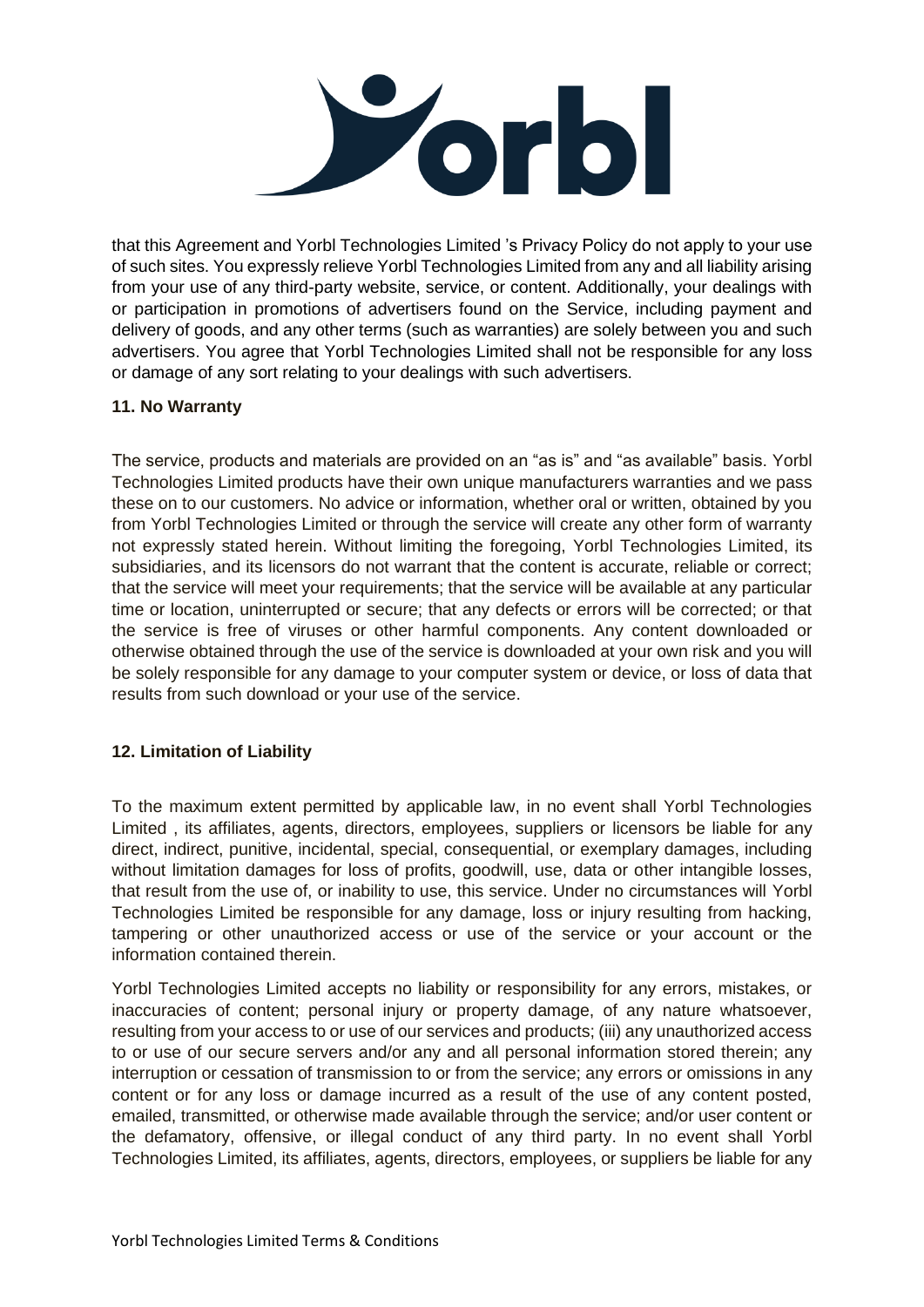

that this Agreement and Yorbl Technologies Limited 's Privacy Policy do not apply to your use of such sites. You expressly relieve Yorbl Technologies Limited from any and all liability arising from your use of any third-party website, service, or content. Additionally, your dealings with or participation in promotions of advertisers found on the Service, including payment and delivery of goods, and any other terms (such as warranties) are solely between you and such advertisers. You agree that Yorbl Technologies Limited shall not be responsible for any loss or damage of any sort relating to your dealings with such advertisers.

### **11. No Warranty**

The service, products and materials are provided on an "as is" and "as available" basis. Yorbl Technologies Limited products have their own unique manufacturers warranties and we pass these on to our customers. No advice or information, whether oral or written, obtained by you from Yorbl Technologies Limited or through the service will create any other form of warranty not expressly stated herein. Without limiting the foregoing, Yorbl Technologies Limited, its subsidiaries, and its licensors do not warrant that the content is accurate, reliable or correct; that the service will meet your requirements; that the service will be available at any particular time or location, uninterrupted or secure; that any defects or errors will be corrected; or that the service is free of viruses or other harmful components. Any content downloaded or otherwise obtained through the use of the service is downloaded at your own risk and you will be solely responsible for any damage to your computer system or device, or loss of data that results from such download or your use of the service.

# **12. Limitation of Liability**

To the maximum extent permitted by applicable law, in no event shall Yorbl Technologies Limited , its affiliates, agents, directors, employees, suppliers or licensors be liable for any direct, indirect, punitive, incidental, special, consequential, or exemplary damages, including without limitation damages for loss of profits, goodwill, use, data or other intangible losses, that result from the use of, or inability to use, this service. Under no circumstances will Yorbl Technologies Limited be responsible for any damage, loss or injury resulting from hacking, tampering or other unauthorized access or use of the service or your account or the information contained therein.

Yorbl Technologies Limited accepts no liability or responsibility for any errors, mistakes, or inaccuracies of content; personal injury or property damage, of any nature whatsoever, resulting from your access to or use of our services and products; (iii) any unauthorized access to or use of our secure servers and/or any and all personal information stored therein; any interruption or cessation of transmission to or from the service; any errors or omissions in any content or for any loss or damage incurred as a result of the use of any content posted, emailed, transmitted, or otherwise made available through the service; and/or user content or the defamatory, offensive, or illegal conduct of any third party. In no event shall Yorbl Technologies Limited, its affiliates, agents, directors, employees, or suppliers be liable for any